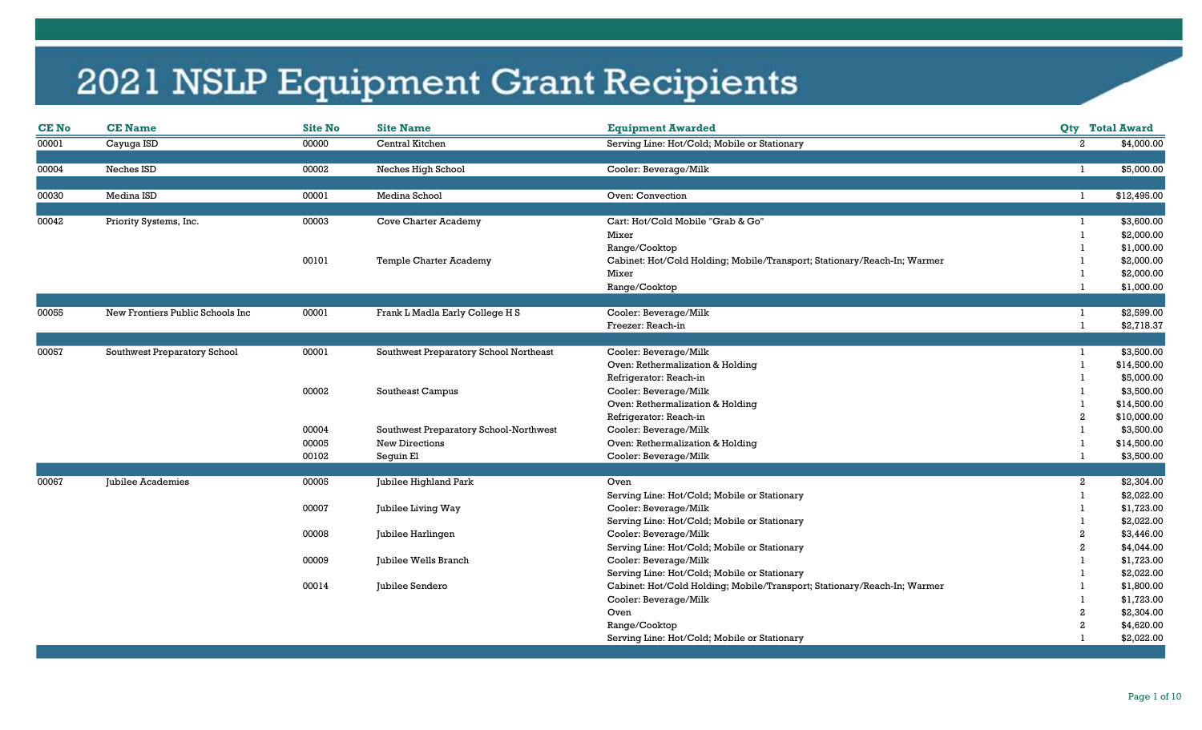| <b>CE No</b> | <b>CE Name</b>                   | <b>Site No</b> | <b>Site Name</b>                       | <b>Equipment Awarded</b>                                                 |                | <b>Qty</b> Total Award       |
|--------------|----------------------------------|----------------|----------------------------------------|--------------------------------------------------------------------------|----------------|------------------------------|
| 00001        | Cayuga ISD                       | 00000          | Central Kitchen                        | Serving Line: Hot/Cold; Mobile or Stationary                             |                | $\mathbf{2}$<br>\$4,000.00   |
|              |                                  |                |                                        |                                                                          |                |                              |
| 00004        | Neches ISD                       | 00002          | Neches High School                     | Cooler: Beverage/Milk                                                    |                | \$5,000.00<br>-1             |
| 00030        | Medina ISD                       | 00001          | Medina School                          | Oven: Convection                                                         | -1             | \$12,495.00                  |
|              |                                  |                |                                        |                                                                          |                |                              |
| 00042        | Priority Systems, Inc.           | 00003          | <b>Cove Charter Academy</b>            | Cart: Hot/Cold Mobile "Grab & Go"                                        |                | \$3,600.00                   |
|              |                                  |                |                                        | Mixer                                                                    |                | \$2,000.00                   |
|              |                                  | 00101          |                                        | Range/Cooktop                                                            |                | \$1,000.00                   |
|              |                                  |                | Temple Charter Academy                 | Cabinet: Hot/Cold Holding; Mobile/Transport; Stationary/Reach-In; Warmer |                | \$2,000.00                   |
|              |                                  |                |                                        | Mixer                                                                    |                | \$2,000.00                   |
|              |                                  |                |                                        | Range/Cooktop                                                            |                | \$1,000.00                   |
| 00055        | New Frontiers Public Schools Inc | 00001          | Frank L Madla Early College H S        | Cooler: Beverage/Milk                                                    |                | \$2,599.00                   |
|              |                                  |                |                                        | Freezer: Reach-in                                                        |                | \$2,718.37                   |
|              |                                  |                |                                        |                                                                          |                |                              |
| 00057        | Southwest Preparatory School     | 00001          | Southwest Preparatory School Northeast | Cooler: Beverage/Milk                                                    |                | \$3,500.00                   |
|              |                                  |                |                                        | Oven: Rethermalization & Holding                                         |                | \$14,500.00                  |
|              |                                  |                |                                        | Refrigerator: Reach-in                                                   |                | \$5,000.00                   |
|              |                                  | 00002          | Southeast Campus                       | Cooler: Beverage/Milk                                                    |                | \$3,500.00                   |
|              |                                  |                |                                        | Oven: Rethermalization & Holding                                         |                | \$14,500.00                  |
|              |                                  |                |                                        | Refrigerator: Reach-in                                                   | 2              | \$10,000.00                  |
|              |                                  | 00004          | Southwest Preparatory School-Northwest | Cooler: Beverage/Milk                                                    |                | \$3,500.00                   |
|              |                                  | 00005          | <b>New Directions</b>                  | Oven: Rethermalization & Holding                                         |                | \$14,500.00                  |
|              |                                  | 00102          | Seguin El                              | Cooler: Beverage/Milk                                                    |                | \$3,500.00                   |
|              |                                  |                |                                        |                                                                          |                |                              |
| 00067        | Jubilee Academies                | 00005          | Jubilee Highland Park                  | Oven                                                                     |                | $\mathbf{2}$<br>\$2,304.00   |
|              |                                  |                |                                        | Serving Line: Hot/Cold; Mobile or Stationary                             |                | \$2,022.00                   |
|              |                                  | 00007          | Jubilee Living Way                     | Cooler: Beverage/Milk                                                    |                | \$1,723.00                   |
|              |                                  |                |                                        | Serving Line: Hot/Cold; Mobile or Stationary                             |                | \$2,022.00                   |
|              |                                  | 00008          | Jubilee Harlingen                      | Cooler: Beverage/Milk                                                    | $\overline{2}$ | \$3,446.00                   |
|              |                                  |                |                                        | Serving Line: Hot/Cold; Mobile or Stationary                             | $\overline{2}$ | \$4,044.00                   |
|              |                                  | 00009          | Jubilee Wells Branch                   | Cooler: Beverage/Milk                                                    |                | \$1,723.00                   |
|              |                                  |                |                                        | Serving Line: Hot/Cold; Mobile or Stationary                             |                | \$2,022.00                   |
|              |                                  | 00014          | Jubilee Sendero                        | Cabinet: Hot/Cold Holding; Mobile/Transport; Stationary/Reach-In; Warmer |                | \$1,800.00                   |
|              |                                  |                |                                        | Cooler: Beverage/Milk                                                    |                | \$1,723.00                   |
|              |                                  |                |                                        | Oven                                                                     |                | \$2,304.00<br>2              |
|              |                                  |                |                                        | Range/Cooktop                                                            |                | \$4,620.00<br>$\overline{2}$ |
|              |                                  |                |                                        | Serving Line: Hot/Cold; Mobile or Stationary                             |                | \$2,022.00                   |
|              |                                  |                |                                        |                                                                          |                |                              |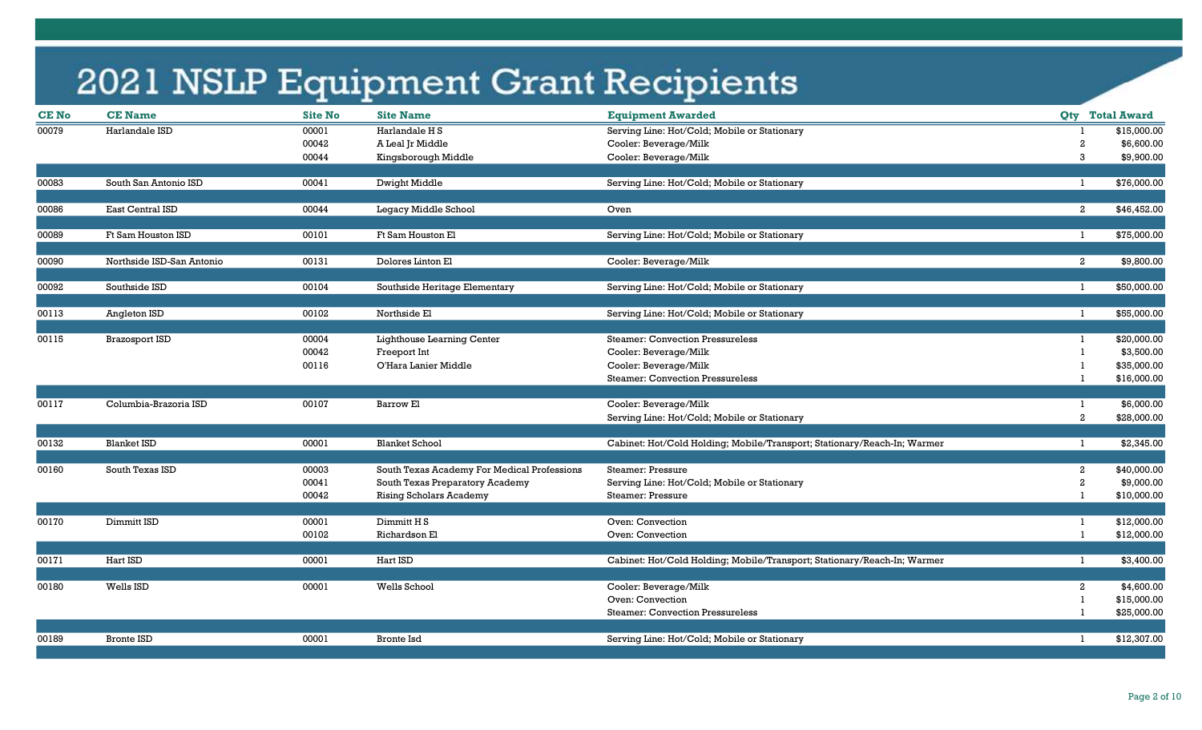| <b>CE No</b> | <b>CE Name</b>            | <b>Site No</b> | <b>Site Name</b>                            | <b>Equipment Awarded</b>                                                 |                | <b>Qty</b> Total Award       |
|--------------|---------------------------|----------------|---------------------------------------------|--------------------------------------------------------------------------|----------------|------------------------------|
| 00079        | Harlandale ISD            | 00001          | Harlandale H S                              | Serving Line: Hot/Cold; Mobile or Stationary                             |                | \$15,000.00                  |
|              |                           | 00042          | A Leal Jr Middle                            | Cooler: Beverage/Milk                                                    | $\overline{2}$ | \$6,600.00                   |
|              |                           | 00044          | Kingsborough Middle                         | Cooler: Beverage/Milk                                                    |                | 3<br>\$9,900.00              |
| 00083        | South San Antonio ISD     | 00041          | Dwight Middle                               | Serving Line: Hot/Cold; Mobile or Stationary                             |                | \$76,000.00<br>-1            |
|              |                           |                |                                             |                                                                          |                |                              |
| 00086        | East Central ISD          | 00044          | Legacy Middle School                        | Oven                                                                     |                | \$46,452.00<br>$\mathbf{2}$  |
| 00089        | Ft Sam Houston ISD        | 00101          | Ft Sam Houston El                           | Serving Line: Hot/Cold; Mobile or Stationary                             |                | \$75,000.00<br>$\mathbf{1}$  |
| 00090        | Northside ISD-San Antonio | 00131          | Dolores Linton El                           | Cooler: Beverage/Milk                                                    |                | $\mathbf{2}$<br>\$9,800.00   |
|              |                           |                |                                             |                                                                          |                |                              |
| 00092        | Southside ISD             | 00104          | Southside Heritage Elementary               | Serving Line: Hot/Cold; Mobile or Stationary                             |                | \$50,000.00<br>$\mathbf{1}$  |
|              |                           |                |                                             |                                                                          |                |                              |
| 00113        | Angleton ISD              | 00102          | Northside El                                | Serving Line: Hot/Cold; Mobile or Stationary                             |                | \$55,000.00<br>-1            |
| 00115        | <b>Brazosport ISD</b>     | 00004          | Lighthouse Learning Center                  | <b>Steamer: Convection Pressureless</b>                                  |                | \$20,000.00                  |
|              |                           | 00042          | Freeport Int                                | Cooler: Beverage/Milk                                                    |                | \$3,500.00                   |
|              |                           | 00116          | O'Hara Lanier Middle                        | Cooler: Beverage/Milk                                                    |                | \$35,000.00                  |
|              |                           |                |                                             | <b>Steamer: Convection Pressureless</b>                                  |                | \$16,000.00                  |
|              |                           |                |                                             |                                                                          |                |                              |
| 00117        | Columbia-Brazoria ISD     | 00107          | Barrow El                                   | Cooler: Beverage/Milk                                                    |                | \$6,000.00<br>$\mathbf{1}$   |
|              |                           |                |                                             | Serving Line: Hot/Cold; Mobile or Stationary                             |                | $\mathbf{2}$<br>\$28,000.00  |
| 00132        | <b>Blanket ISD</b>        | 00001          | <b>Blanket School</b>                       | Cabinet: Hot/Cold Holding; Mobile/Transport; Stationary/Reach-In; Warmer |                | \$2,345.00                   |
|              |                           |                |                                             |                                                                          |                |                              |
| 00160        | South Texas ISD           | 00003          | South Texas Academy For Medical Professions | Steamer: Pressure                                                        |                | $\mathbf{2}$<br>\$40,000.00  |
|              |                           | 00041          | South Texas Preparatory Academy             | Serving Line: Hot/Cold; Mobile or Stationary                             |                | $\overline{2}$<br>\$9,000.00 |
|              |                           | 00042          | <b>Rising Scholars Academy</b>              | <b>Steamer: Pressure</b>                                                 |                | \$10,000.00                  |
| 00170        | Dimmitt ISD               | 00001          | Dimmitt H <sub>S</sub>                      | Oven: Convection                                                         | -1             | \$12,000.00                  |
|              |                           | 00102          | Richardson El                               | Oven: Convection                                                         |                | \$12,000.00                  |
|              |                           |                |                                             |                                                                          |                |                              |
| 00171        | Hart ISD                  | 00001          | Hart ISD                                    | Cabinet: Hot/Cold Holding; Mobile/Transport; Stationary/Reach-In; Warmer |                | \$3,400.00<br>-1             |
|              |                           |                |                                             |                                                                          |                |                              |
| 00180        | Wells ISD                 | 00001          | Wells School                                | Cooler: Beverage/Milk                                                    |                | \$4,600.00<br>$\mathbf{2}$   |
|              |                           |                |                                             | Oven: Convection                                                         |                | \$15,000.00                  |
|              |                           |                |                                             | <b>Steamer: Convection Pressureless</b>                                  |                | \$25,000.00                  |
| 00189        | <b>Bronte ISD</b>         | 00001          | <b>Bronte Isd</b>                           |                                                                          |                | \$12,307.00<br>-1            |
|              |                           |                |                                             | Serving Line: Hot/Cold; Mobile or Stationary                             |                |                              |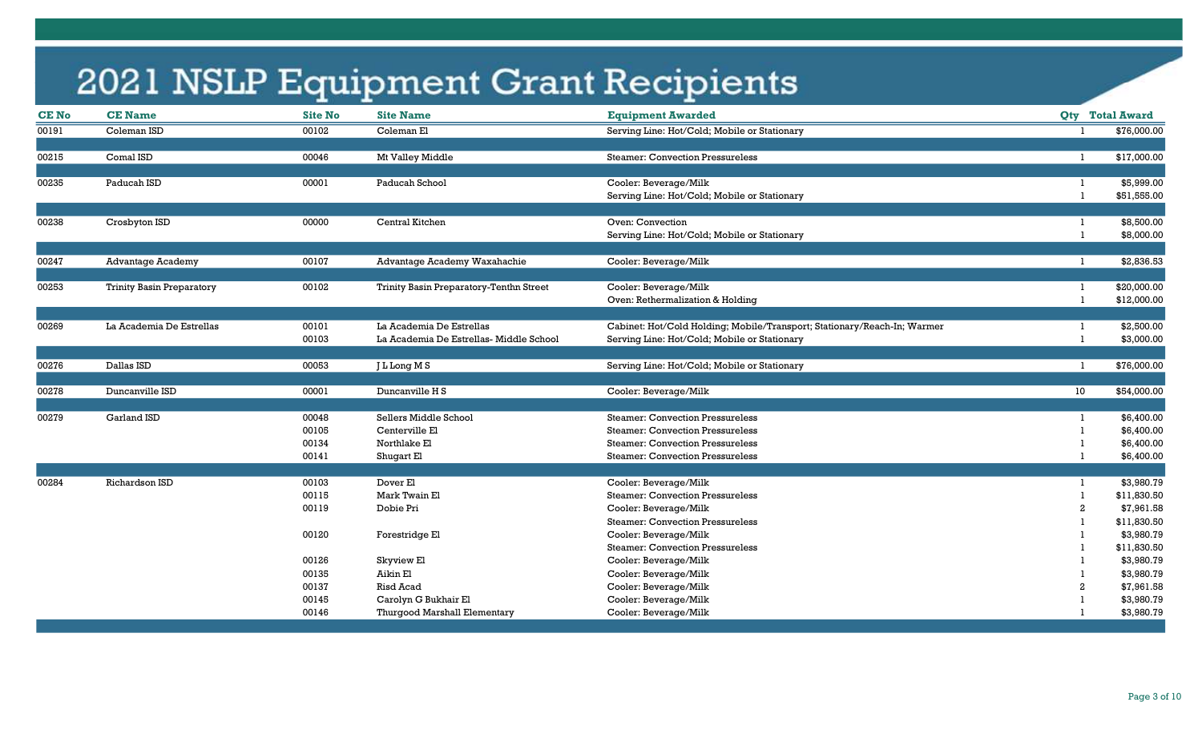| <b>CE No</b> | <b>CE Name</b>                   | <b>Site No</b> | <b>Site Name</b>                        | <b>Equipment Awarded</b>                                                 |              | <b>Qty</b> Total Award |
|--------------|----------------------------------|----------------|-----------------------------------------|--------------------------------------------------------------------------|--------------|------------------------|
| 00191        | Coleman ISD                      | 00102          | Coleman El                              | Serving Line: Hot/Cold; Mobile or Stationary                             |              | \$76,000.00            |
|              |                                  |                |                                         |                                                                          |              |                        |
| 00215        | Comal ISD                        | 00046          | Mt Valley Middle                        | <b>Steamer: Convection Pressureless</b>                                  | $\mathbf{1}$ | \$17,000.00            |
|              |                                  |                |                                         |                                                                          |              |                        |
| 00235        | Paducah ISD                      | 00001          | Paducah School                          | Cooler: Beverage/Milk                                                    | -1           | \$5,999.00             |
|              |                                  |                |                                         | Serving Line: Hot/Cold; Mobile or Stationary                             |              | \$51,555.00            |
|              |                                  |                |                                         |                                                                          |              |                        |
| 00238        | Crosbyton ISD                    | 00000          | Central Kitchen                         | Oven: Convection                                                         | -1           | \$8,500.00             |
|              |                                  |                |                                         | Serving Line: Hot/Cold; Mobile or Stationary                             | $\mathbf{1}$ | \$8,000.00             |
|              |                                  |                |                                         |                                                                          |              |                        |
| 00247        | <b>Advantage Academy</b>         | 00107          | Advantage Academy Waxahachie            | Cooler: Beverage/Milk                                                    | -1           | \$2,836.53             |
|              |                                  |                |                                         |                                                                          |              |                        |
| 00253        | <b>Trinity Basin Preparatory</b> | 00102          | Trinity Basin Preparatory-Tenthn Street | Cooler: Beverage/Milk                                                    |              | \$20,000.00            |
|              |                                  |                |                                         | Oven: Rethermalization & Holding                                         |              | \$12,000.00            |
|              |                                  |                |                                         |                                                                          |              |                        |
| 00269        | La Academia De Estrellas         | 00101          | La Academia De Estrellas                | Cabinet: Hot/Cold Holding; Mobile/Transport; Stationary/Reach-In; Warmer |              | \$2,500.00             |
|              |                                  | 00103          | La Academia De Estrellas-Middle School  | Serving Line: Hot/Cold; Mobile or Stationary                             | -1           | \$3,000.00             |
|              |                                  |                |                                         |                                                                          |              |                        |
| 00276        | Dallas ISD                       | 00053          | J L Long M S                            | Serving Line: Hot/Cold; Mobile or Stationary                             | -1           | \$76,000.00            |
|              |                                  |                |                                         |                                                                          |              |                        |
| 00278        | Duncanville ISD                  | 00001          | Duncanville H S                         | Cooler: Beverage/Milk                                                    | 10           | \$54,000.00            |
|              |                                  |                |                                         |                                                                          |              |                        |
| 00279        | Garland ISD                      | 00048          | Sellers Middle School                   | <b>Steamer: Convection Pressureless</b>                                  |              | \$6,400.00             |
|              |                                  | 00105          | Centerville El                          | <b>Steamer: Convection Pressureless</b>                                  |              | \$6,400.00             |
|              |                                  | 00134          | Northlake El                            | <b>Steamer: Convection Pressureless</b>                                  |              | \$6,400.00             |
|              |                                  | 00141          | Shugart El                              | <b>Steamer: Convection Pressureless</b>                                  |              | \$6,400.00             |
|              |                                  |                |                                         |                                                                          |              |                        |
| 00284        | Richardson ISD                   | 00103          | Dover El                                | Cooler: Beverage/Milk                                                    | -1           | \$3,980.79             |
|              |                                  | 00115          | Mark Twain El                           | <b>Steamer: Convection Pressureless</b>                                  |              | \$11,830.50            |
|              |                                  | 00119          | Dobie Pri                               | Cooler: Beverage/Milk                                                    |              | \$7,961.58             |
|              |                                  |                |                                         | <b>Steamer: Convection Pressureless</b>                                  |              | \$11,830.50            |
|              |                                  | 00120          | Forestridge El                          | Cooler: Beverage/Milk                                                    |              | \$3,980.79             |
|              |                                  |                |                                         | <b>Steamer: Convection Pressureless</b>                                  |              | \$11,830.50            |
|              |                                  | 00126          | Skyview El                              | Cooler: Beverage/Milk                                                    |              | \$3,980.79             |
|              |                                  | 00135          | Aikin El                                | Cooler: Beverage/Milk                                                    |              | \$3,980.79             |
|              |                                  | 00137          | <b>Risd Acad</b>                        | Cooler: Beverage/Milk                                                    |              | \$7,961.58             |
|              |                                  | 00145          | Carolyn G Bukhair El                    | Cooler: Beverage/Milk                                                    |              | \$3,980.79             |
|              |                                  | 00146          | Thurgood Marshall Elementary            | Cooler: Beverage/Milk                                                    |              | \$3,980.79             |
|              |                                  |                |                                         |                                                                          |              |                        |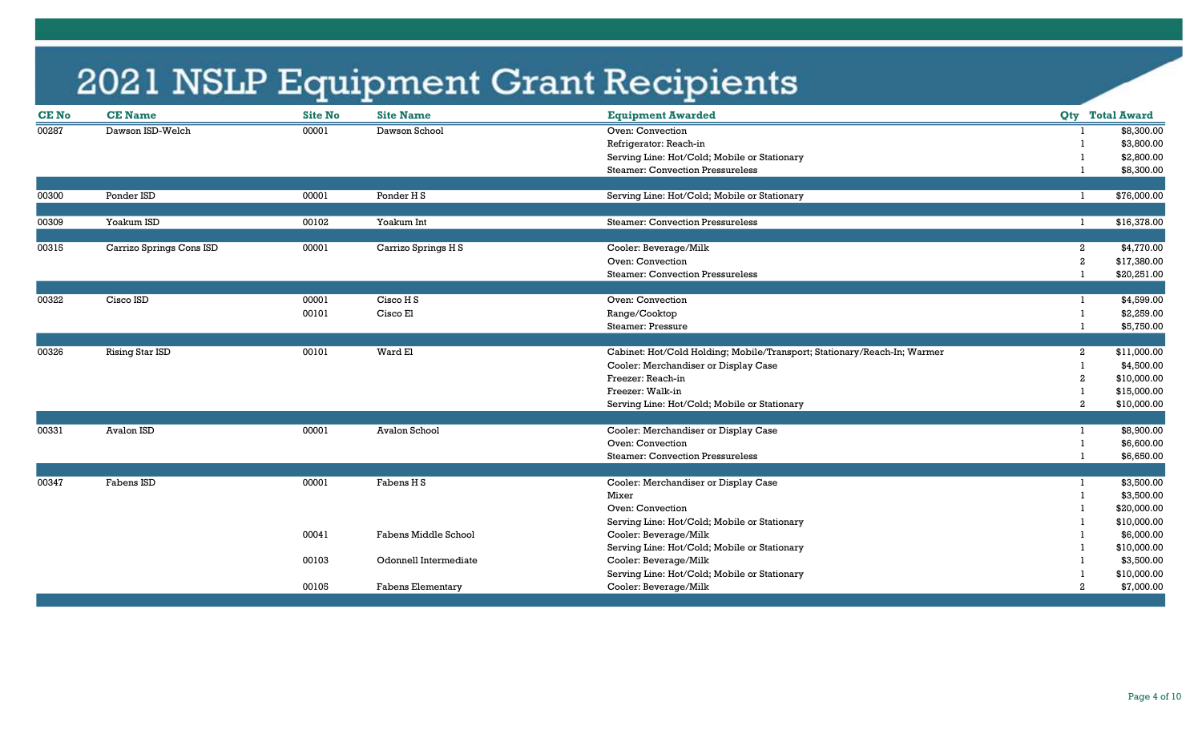| <b>CENo</b> | <b>CE Name</b>           | <b>Site No</b> | <b>Site Name</b>         | <b>Equipment Awarded</b>                                                 |                  | <b>Qty</b> Total Award |
|-------------|--------------------------|----------------|--------------------------|--------------------------------------------------------------------------|------------------|------------------------|
| 00287       | Dawson ISD-Welch         | 00001          | Dawson School            | Oven: Convection                                                         |                  | \$8,300.00             |
|             |                          |                |                          | Refrigerator: Reach-in                                                   |                  | \$3,800.00             |
|             |                          |                |                          | Serving Line: Hot/Cold; Mobile or Stationary                             |                  | \$2,800.00             |
|             |                          |                |                          | <b>Steamer: Convection Pressureless</b>                                  |                  | \$8,300.00             |
|             |                          |                |                          |                                                                          |                  |                        |
| 00300       | Ponder ISD               | 00001          | Ponder H <sub>S</sub>    | Serving Line: Hot/Cold; Mobile or Stationary                             |                  | \$76,000.00<br>-1      |
|             |                          |                |                          |                                                                          |                  |                        |
| 00309       | Yoakum ISD               | 00102          | Yoakum Int               | <b>Steamer: Convection Pressureless</b>                                  | -1.              | \$16,378.00            |
|             |                          |                |                          |                                                                          |                  |                        |
| 00315       | Carrizo Springs Cons ISD | 00001          | Carrizo Springs H S      | Cooler: Beverage/Milk                                                    | $\overline{a}$   | \$4,770.00             |
|             |                          |                |                          | Oven: Convection                                                         | $\boldsymbol{2}$ | \$17,380.00            |
|             |                          |                |                          | <b>Steamer: Convection Pressureless</b>                                  |                  | \$20,251.00            |
|             |                          |                |                          |                                                                          |                  |                        |
| 00322       | Cisco ISD                | 00001          | Cisco H S                | Oven: Convection                                                         |                  | \$4,599.00             |
|             |                          | 00101          | Cisco El                 | Range/Cooktop                                                            |                  | \$2,259.00             |
|             |                          |                |                          | Steamer: Pressure                                                        |                  | \$5,750.00             |
|             |                          |                |                          |                                                                          |                  |                        |
| 00326       | <b>Rising Star ISD</b>   | 00101          | Ward El                  | Cabinet: Hot/Cold Holding; Mobile/Transport; Stationary/Reach-In; Warmer | 2                | \$11,000.00            |
|             |                          |                |                          | Cooler: Merchandiser or Display Case                                     |                  | \$4,500.00             |
|             |                          |                |                          | Freezer: Reach-in                                                        | -2               | \$10,000.00            |
|             |                          |                |                          | Freezer: Walk-in                                                         |                  | \$15,000.00            |
|             |                          |                |                          | Serving Line: Hot/Cold; Mobile or Stationary                             | $\overline{2}$   | \$10,000.00            |
|             |                          |                |                          |                                                                          |                  |                        |
| 00331       | Avalon ISD               | 00001          | Avalon School            | Cooler: Merchandiser or Display Case                                     |                  | \$8,900.00             |
|             |                          |                |                          | Oven: Convection                                                         |                  | \$6,600.00             |
|             |                          |                |                          | <b>Steamer: Convection Pressureless</b>                                  |                  | \$6,650.00             |
|             |                          |                |                          |                                                                          |                  |                        |
| 00347       | Fabens ISD               | 00001          | Fabens H <sub>S</sub>    | Cooler: Merchandiser or Display Case                                     |                  | \$3,500.00             |
|             |                          |                |                          | Mixer                                                                    |                  | \$3,500.00             |
|             |                          |                |                          | Oven: Convection                                                         |                  | \$20,000.00            |
|             |                          |                |                          | Serving Line: Hot/Cold; Mobile or Stationary                             |                  | \$10,000.00            |
|             |                          | 00041          | Fabens Middle School     | Cooler: Beverage/Milk                                                    |                  | \$6,000.00             |
|             |                          |                |                          | Serving Line: Hot/Cold; Mobile or Stationary                             |                  | \$10,000.00            |
|             |                          | 00103          | Odonnell Intermediate    | Cooler: Beverage/Milk                                                    |                  | \$3,500.00             |
|             |                          |                |                          | Serving Line: Hot/Cold; Mobile or Stationary                             |                  | \$10,000.00            |
|             |                          | 00105          | <b>Fabens Elementary</b> | Cooler: Beverage/Milk                                                    | $\overline{2}$   | \$7,000.00             |
|             |                          |                |                          |                                                                          |                  |                        |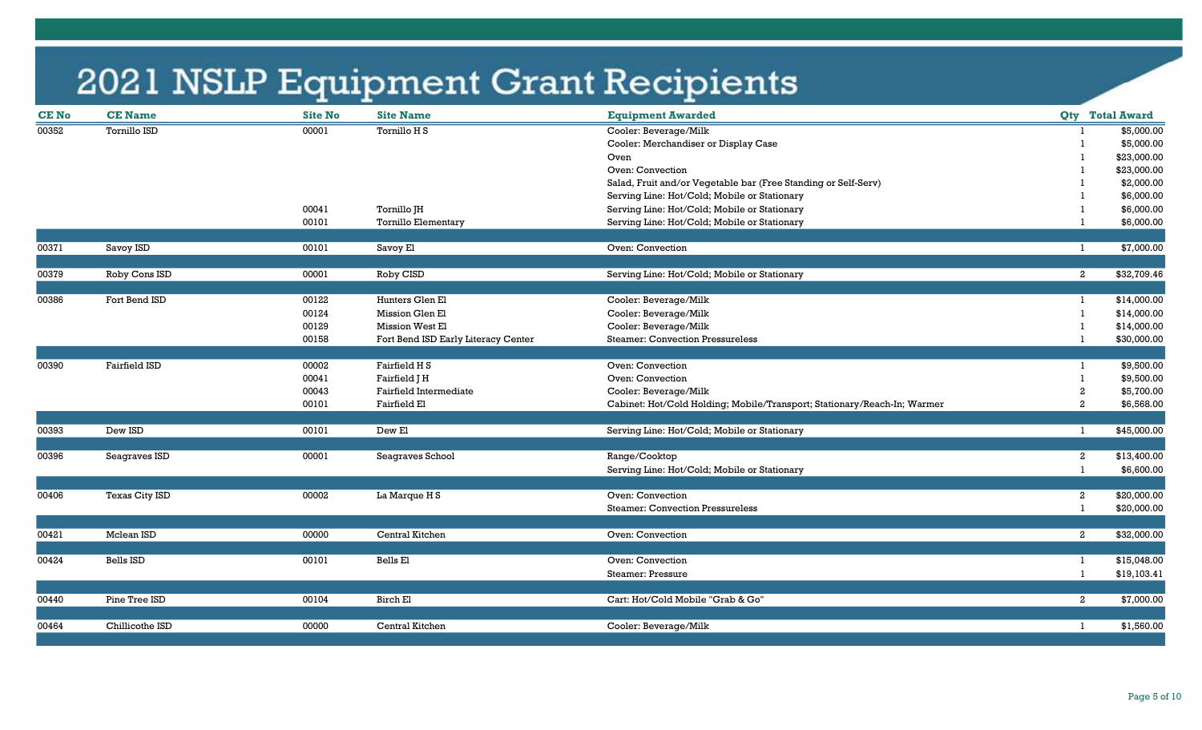| <b>CE No</b> | <b>CE Name</b>  | <b>Site No</b> | <b>Site Name</b>                    | <b>Equipment Awarded</b>                                                 |                | <b>Qty</b> Total Award        |
|--------------|-----------------|----------------|-------------------------------------|--------------------------------------------------------------------------|----------------|-------------------------------|
| 00352        | Tornillo ISD    | 00001          | Tornillo H S                        | Cooler: Beverage/Milk                                                    |                | \$5,000.00                    |
|              |                 |                |                                     | Cooler: Merchandiser or Display Case                                     |                | \$5,000.00                    |
|              |                 |                |                                     | Oven                                                                     |                | \$23,000.00                   |
|              |                 |                |                                     | Oven: Convection                                                         |                | \$23,000.00                   |
|              |                 |                |                                     | Salad, Fruit and/or Vegetable bar (Free Standing or Self-Serv)           |                | \$2,000.00                    |
|              |                 |                |                                     | Serving Line: Hot/Cold; Mobile or Stationary                             |                | \$6,000.00                    |
|              |                 | 00041          | Tornillo JH                         | Serving Line: Hot/Cold; Mobile or Stationary                             |                | \$6,000.00                    |
|              |                 | 00101          | Tornillo Elementary                 | Serving Line: Hot/Cold; Mobile or Stationary                             |                | \$6,000.00                    |
|              |                 |                |                                     |                                                                          |                |                               |
| 00371        | Savoy ISD       | 00101          | Savoy El                            | Oven: Convection                                                         |                | \$7,000.00                    |
| 00379        | Roby Cons ISD   | 00001          | Roby CISD                           | Serving Line: Hot/Cold; Mobile or Stationary                             |                | $\overline{a}$<br>\$32,709.46 |
|              |                 |                |                                     |                                                                          |                |                               |
| 00386        | Fort Bend ISD   | 00122          | Hunters Glen El                     | Cooler: Beverage/Milk                                                    |                | \$14,000.00                   |
|              |                 | 00124          | Mission Glen El                     | Cooler: Beverage/Milk                                                    |                | \$14,000.00                   |
|              |                 | 00129          | Mission West El                     | Cooler: Beverage/Milk                                                    |                | \$14,000.00                   |
|              |                 | 00158          | Fort Bend ISD Early Literacy Center | <b>Steamer: Convection Pressureless</b>                                  |                | \$30,000.00                   |
|              |                 |                |                                     |                                                                          |                |                               |
| 00390        | Fairfield ISD   | 00002          | Fairfield H S                       | Oven: Convection                                                         |                | \$9,500.00                    |
|              |                 | 00041          | Fairfield J H                       | Oven: Convection                                                         |                | \$9,500.00                    |
|              |                 | 00043          | Fairfield Intermediate              | Cooler: Beverage/Milk                                                    | $\overline{c}$ | \$5,700.00                    |
|              |                 | 00101          | Fairfield El                        | Cabinet: Hot/Cold Holding; Mobile/Transport; Stationary/Reach-In; Warmer | $\overline{2}$ | \$6,568.00                    |
| 00393        | Dew ISD         | 00101          | Dew El                              | Serving Line: Hot/Cold; Mobile or Stationary                             |                | \$45,000.00<br>$\mathbf{1}$   |
|              |                 |                |                                     |                                                                          |                |                               |
| 00396        | Seagraves ISD   | 00001          | Seagraves School                    | Range/Cooktop                                                            |                | \$13,400.00<br>$\mathbf{2}$   |
|              |                 |                |                                     | Serving Line: Hot/Cold; Mobile or Stationary                             |                | \$6,600.00                    |
|              |                 |                |                                     |                                                                          |                |                               |
| 00406        | Texas City ISD  | 00002          | <b>La Marque H S</b>                | Oven: Convection                                                         | $\mathbf{2}$   | \$20,000.00                   |
|              |                 |                |                                     | <b>Steamer: Convection Pressureless</b>                                  |                | \$20,000.00                   |
|              |                 |                |                                     |                                                                          |                |                               |
| 00421        | Mclean ISD      | 00000          | Central Kitchen                     | Oven: Convection                                                         |                | $\overline{a}$<br>\$32,000.00 |
| 00424        | Bells ISD       | 00101          | Bells El                            | Oven: Convection                                                         |                | \$15,048.00                   |
|              |                 |                |                                     | <b>Steamer: Pressure</b>                                                 |                | \$19,103.41                   |
|              |                 |                |                                     |                                                                          |                |                               |
| 00440        | Pine Tree ISD   | 00104          | Birch El                            | Cart: Hot/Cold Mobile "Grab & Go"                                        |                | $\overline{a}$<br>\$7,000.00  |
|              |                 |                |                                     |                                                                          |                |                               |
| 00464        | Chillicothe ISD | 00000          | Central Kitchen                     | Cooler: Beverage/Milk                                                    |                | \$1,560.00                    |
|              |                 |                |                                     |                                                                          |                |                               |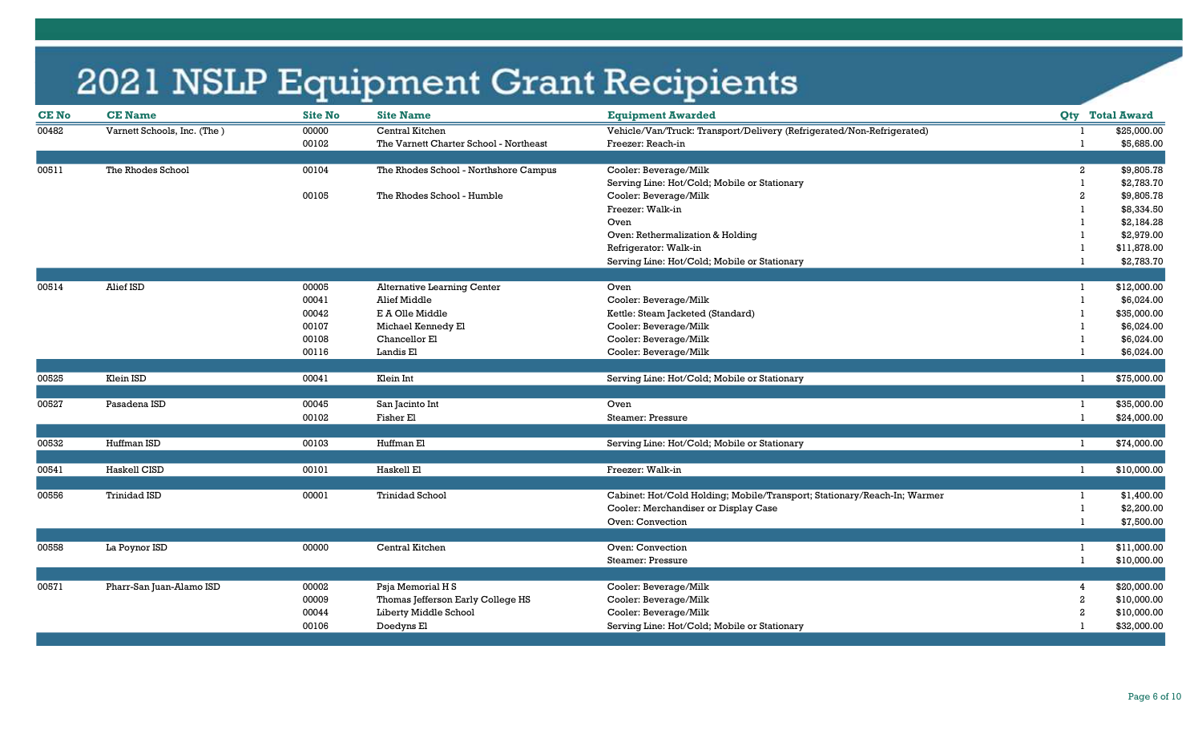| <b>CE No</b> | <b>CE Name</b>              | <b>Site No</b> | <b>Site Name</b>                       | <b>Equipment Awarded</b>                                                 |              | <b>Qty</b> Total Award     |
|--------------|-----------------------------|----------------|----------------------------------------|--------------------------------------------------------------------------|--------------|----------------------------|
| 00482        | Varnett Schools, Inc. (The) | 00000          | Central Kitchen                        | Vehicle/Van/Truck: Transport/Delivery (Refrigerated/Non-Refrigerated)    |              | \$25,000.00                |
|              |                             | 00102          | The Varnett Charter School - Northeast | Freezer: Reach-in                                                        |              | \$5,685.00                 |
|              |                             |                |                                        |                                                                          |              |                            |
| 00511        | The Rhodes School           | 00104          | The Rhodes School - Northshore Campus  | Cooler: Beverage/Milk                                                    |              | \$9,805.78<br>$\mathbf{2}$ |
|              |                             |                |                                        | Serving Line: Hot/Cold; Mobile or Stationary                             | 1            | \$2,783.70                 |
|              |                             | 00105          | The Rhodes School - Humble             | Cooler: Beverage/Milk                                                    |              | \$9,805.78                 |
|              |                             |                |                                        | Freezer: Walk-in                                                         |              | \$8,334.50                 |
|              |                             |                |                                        | Oven                                                                     |              | \$2,184.28                 |
|              |                             |                |                                        | Oven: Rethermalization & Holding                                         |              | \$2,979.00                 |
|              |                             |                |                                        | Refrigerator: Walk-in                                                    |              | \$11,878.00                |
|              |                             |                |                                        | Serving Line: Hot/Cold; Mobile or Stationary                             |              | \$2,783.70                 |
|              |                             |                |                                        |                                                                          |              |                            |
| 00514        | Alief ISD                   | 00005          | <b>Alternative Learning Center</b>     | Oven                                                                     | L.           | \$12,000.00                |
|              |                             | 00041          | Alief Middle                           | Cooler: Beverage/Milk                                                    |              | \$6,024.00                 |
|              |                             | 00042          | E A Olle Middle                        | Kettle: Steam Jacketed (Standard)                                        |              | \$35,000.00                |
|              |                             | 00107          | Michael Kennedy El                     | Cooler: Beverage/Milk                                                    |              | \$6,024.00                 |
|              |                             | 00108          | Chancellor El                          | Cooler: Beverage/Milk                                                    |              | \$6,024.00                 |
|              |                             | 00116          | Landis El                              | Cooler: Beverage/Milk                                                    |              | \$6,024.00                 |
|              |                             |                |                                        |                                                                          |              |                            |
| 00525        | Klein ISD                   | 00041          | Klein Int                              | Serving Line: Hot/Cold; Mobile or Stationary                             | 1            | \$75,000.00                |
| 00527        | Pasadena ISD                | 00045          | San Jacinto Int                        | Oven                                                                     | L            | \$35,000.00                |
|              |                             | 00102          | Fisher El                              | <b>Steamer: Pressure</b>                                                 | -1           | \$24,000.00                |
|              |                             |                |                                        |                                                                          |              |                            |
| 00532        | Huffman ISD                 | 00103          | Huffman El                             | Serving Line: Hot/Cold; Mobile or Stationary                             | $\mathbf{1}$ | \$74,000.00                |
|              |                             |                |                                        |                                                                          |              |                            |
| 00541        | Haskell CISD                | 00101          | Haskell El                             | Freezer: Walk-in                                                         | $\mathbf{1}$ | \$10,000.00                |
|              |                             |                |                                        |                                                                          |              |                            |
| 00556        | <b>Trinidad ISD</b>         | 00001          | <b>Trinidad School</b>                 | Cabinet: Hot/Cold Holding; Mobile/Transport; Stationary/Reach-In; Warmer | 1            | \$1,400.00                 |
|              |                             |                |                                        | Cooler: Merchandiser or Display Case                                     |              | \$2,200.00                 |
|              |                             |                |                                        | Oven: Convection                                                         |              | \$7,500.00                 |
| 00558        | La Poynor ISD               | 00000          | Central Kitchen                        | Oven: Convection                                                         | -1           | \$11,000.00                |
|              |                             |                |                                        | <b>Steamer: Pressure</b>                                                 | $\mathbf{1}$ |                            |
|              |                             |                |                                        |                                                                          |              | \$10,000.00                |
| 00571        | Pharr-San Juan-Alamo ISD    | 00002          | Psja Memorial H S                      | Cooler: Beverage/Milk                                                    |              | \$20,000.00<br>4           |
|              |                             | 00009          | Thomas Jefferson Early College HS      | Cooler: Beverage/Milk                                                    | 2            | \$10,000.00                |
|              |                             | 00044          | Liberty Middle School                  | Cooler: Beverage/Milk                                                    |              | \$10,000.00<br>2           |
|              |                             | 00106          | Doedyns El                             | Serving Line: Hot/Cold; Mobile or Stationary                             |              | \$32,000.00                |
|              |                             |                |                                        |                                                                          |              |                            |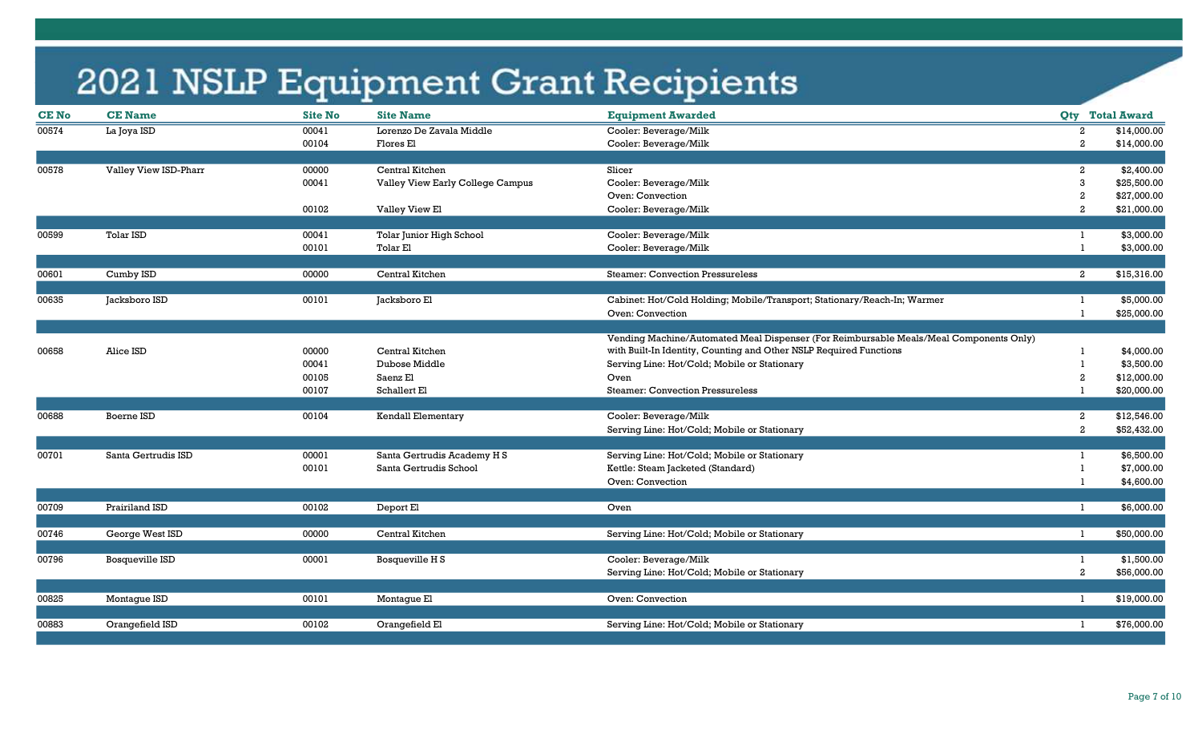| <b>CENo</b> | <b>CE Name</b>        | <b>Site No</b> | <b>Site Name</b>                 | <b>Equipment Awarded</b>                                                               |                |                  | <b>Qty</b> Total Award |
|-------------|-----------------------|----------------|----------------------------------|----------------------------------------------------------------------------------------|----------------|------------------|------------------------|
| 00574       | La Joya ISD           | 00041          | Lorenzo De Zavala Middle         | Cooler: Beverage/Milk                                                                  | 2              |                  | \$14,000.00            |
|             |                       | 00104          | Flores El                        | Cooler: Beverage/Milk                                                                  | $\overline{2}$ |                  | \$14,000.00            |
|             |                       |                |                                  |                                                                                        |                |                  |                        |
| 00578       | Valley View ISD-Pharr | 00000          | Central Kitchen                  | Slicer                                                                                 | $\overline{2}$ |                  | \$2,400.00             |
|             |                       | 00041          | Valley View Early College Campus | Cooler: Beverage/Milk                                                                  | 3              |                  | \$25,500.00            |
|             |                       |                |                                  | Oven: Convection                                                                       | $\overline{2}$ |                  | \$27,000.00            |
|             |                       | 00102          | Valley View El                   | Cooler: Beverage/Milk                                                                  | $\overline{2}$ |                  | \$21,000.00            |
| 00599       | <b>Tolar ISD</b>      | 00041          | Tolar Junior High School         | Cooler: Beverage/Milk                                                                  |                |                  | \$3,000.00             |
|             |                       | 00101          | <b>Tolar El</b>                  | Cooler: Beverage/Milk                                                                  |                |                  | \$3,000.00             |
|             |                       |                |                                  |                                                                                        |                |                  |                        |
| 00601       | Cumby ISD             | 00000          | Central Kitchen                  | <b>Steamer: Convection Pressureless</b>                                                |                | $\mathbf{2}$     | \$15,316.00            |
| 00635       | Jacksboro ISD         | 00101          | Jacksboro El                     | Cabinet: Hot/Cold Holding; Mobile/Transport; Stationary/Reach-In; Warmer               |                |                  | \$5,000.00             |
|             |                       |                |                                  | Oven: Convection                                                                       |                |                  | \$25,000.00            |
|             |                       |                |                                  |                                                                                        |                |                  |                        |
|             |                       |                |                                  | Vending Machine/Automated Meal Dispenser (For Reimbursable Meals/Meal Components Only) |                |                  |                        |
| 00658       | Alice ISD             | 00000          | Central Kitchen                  | with Built-In Identity, Counting and Other NSLP Required Functions                     |                |                  | \$4,000.00             |
|             |                       | 00041          | Dubose Middle                    | Serving Line: Hot/Cold; Mobile or Stationary                                           |                |                  | \$3,500.00             |
|             |                       | 00105          | Saenz El                         | Oven                                                                                   | 2              |                  | \$12,000.00            |
|             |                       | 00107          | Schallert El                     | <b>Steamer: Convection Pressureless</b>                                                |                |                  | \$20,000.00            |
|             |                       |                |                                  |                                                                                        |                |                  |                        |
| 00688       | Boerne ISD            | 00104          | Kendall Elementary               | Cooler: Beverage/Milk                                                                  |                | $\boldsymbol{2}$ | \$12,546.00            |
|             |                       |                |                                  | Serving Line: Hot/Cold; Mobile or Stationary                                           |                | $\overline{a}$   | \$52,432.00            |
| 00701       | Santa Gertrudis ISD   | 00001          |                                  | Serving Line: Hot/Cold; Mobile or Stationary                                           | $\mathbf{1}$   |                  | \$6,500.00             |
|             |                       |                | Santa Gertrudis Academy H S      |                                                                                        |                |                  |                        |
|             |                       | 00101          | Santa Gertrudis School           | Kettle: Steam Jacketed (Standard)                                                      |                |                  | \$7,000.00             |
|             |                       |                |                                  | Oven: Convection                                                                       |                |                  | \$4,600.00             |
| 00709       | Prairiland ISD        | 00102          | Deport El                        | Oven                                                                                   | -1             |                  | \$6,000.00             |
|             |                       |                |                                  |                                                                                        |                |                  |                        |
| 00746       | George West ISD       | 00000          | Central Kitchen                  | Serving Line: Hot/Cold; Mobile or Stationary                                           | -1             |                  | \$50,000.00            |
|             |                       |                |                                  |                                                                                        |                |                  |                        |
| 00796       | Bosqueville ISD       | 00001          | Bosqueville H S                  | Cooler: Beverage/Milk                                                                  | -1             |                  | \$1,500.00             |
|             |                       |                |                                  | Serving Line: Hot/Cold; Mobile or Stationary                                           | $\overline{a}$ |                  | \$56,000.00            |
|             |                       |                |                                  |                                                                                        | -1             |                  |                        |
| 00825       | Montague ISD          | 00101          | Montague El                      | Oven: Convection                                                                       |                |                  | \$19,000.00            |
| 00883       | Orangefield ISD       | 00102          | Orangefield El                   | Serving Line: Hot/Cold; Mobile or Stationary                                           | -1             |                  | \$76,000.00            |
|             |                       |                |                                  |                                                                                        |                |                  |                        |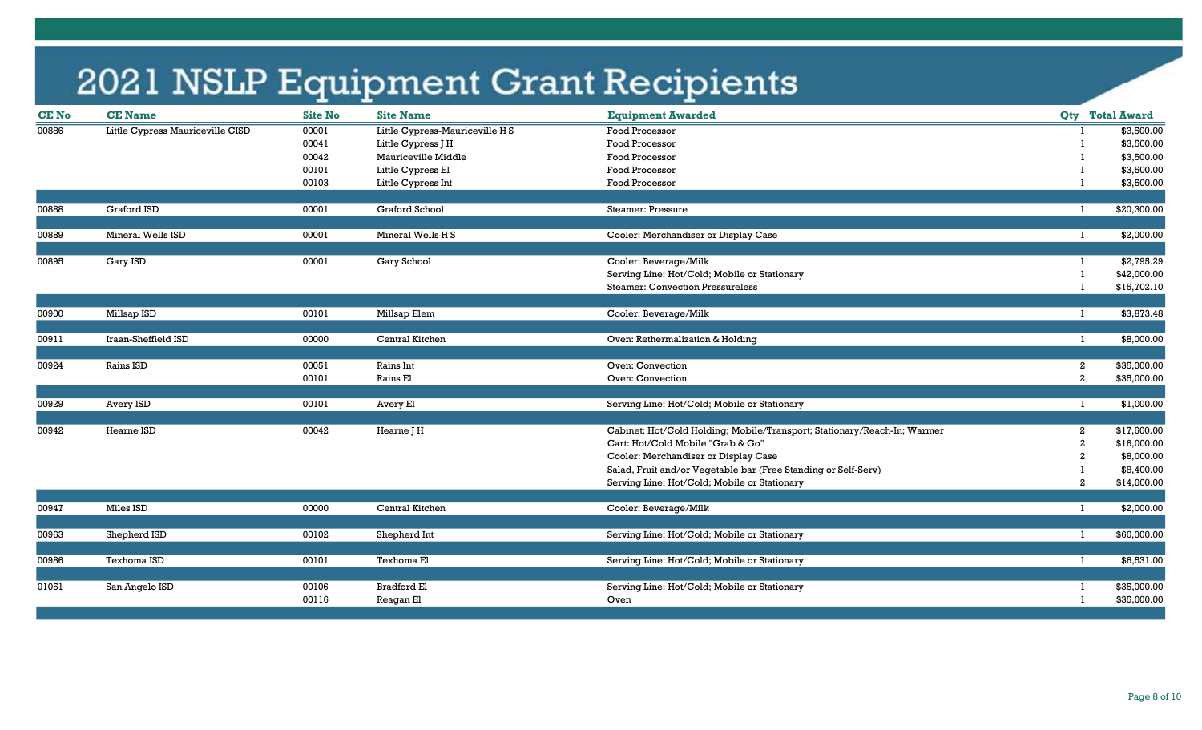| <b>CE Name</b>                   | <b>Site No</b>                                                                                                       | <b>Site Name</b>                                            | <b>Equipment Awarded</b>                                                                                        |                                                                                                                                                                                                                                                                                                                                                                                                                                                                                                                                                   | <b>Qty</b> Total Award                         |
|----------------------------------|----------------------------------------------------------------------------------------------------------------------|-------------------------------------------------------------|-----------------------------------------------------------------------------------------------------------------|---------------------------------------------------------------------------------------------------------------------------------------------------------------------------------------------------------------------------------------------------------------------------------------------------------------------------------------------------------------------------------------------------------------------------------------------------------------------------------------------------------------------------------------------------|------------------------------------------------|
| Little Cypress Mauriceville CISD | 00001                                                                                                                | Little Cypress-Mauriceville HS                              | Food Processor                                                                                                  |                                                                                                                                                                                                                                                                                                                                                                                                                                                                                                                                                   | \$3,500.00                                     |
|                                  | 00041                                                                                                                | Little Cypress J H                                          | Food Processor                                                                                                  |                                                                                                                                                                                                                                                                                                                                                                                                                                                                                                                                                   | \$3,500.00                                     |
|                                  | 00042                                                                                                                | Mauriceville Middle                                         | Food Processor                                                                                                  |                                                                                                                                                                                                                                                                                                                                                                                                                                                                                                                                                   | \$3,500.00                                     |
|                                  | 00101                                                                                                                | Little Cypress El                                           | Food Processor                                                                                                  |                                                                                                                                                                                                                                                                                                                                                                                                                                                                                                                                                   | \$3,500.00                                     |
|                                  | 00103                                                                                                                | Little Cypress Int                                          | Food Processor                                                                                                  |                                                                                                                                                                                                                                                                                                                                                                                                                                                                                                                                                   | \$3,500.00                                     |
|                                  |                                                                                                                      |                                                             |                                                                                                                 |                                                                                                                                                                                                                                                                                                                                                                                                                                                                                                                                                   |                                                |
|                                  |                                                                                                                      |                                                             |                                                                                                                 |                                                                                                                                                                                                                                                                                                                                                                                                                                                                                                                                                   | \$20,300.00                                    |
| Mineral Wells ISD                | 00001                                                                                                                | Mineral Wells H S                                           |                                                                                                                 |                                                                                                                                                                                                                                                                                                                                                                                                                                                                                                                                                   | \$2,000.00<br>-1                               |
|                                  |                                                                                                                      |                                                             |                                                                                                                 |                                                                                                                                                                                                                                                                                                                                                                                                                                                                                                                                                   |                                                |
| Gary ISD                         | 00001                                                                                                                | Gary School                                                 | Cooler: Beverage/Milk                                                                                           |                                                                                                                                                                                                                                                                                                                                                                                                                                                                                                                                                   | \$2,795.29                                     |
|                                  |                                                                                                                      |                                                             | Serving Line: Hot/Cold; Mobile or Stationary                                                                    |                                                                                                                                                                                                                                                                                                                                                                                                                                                                                                                                                   | \$42,000.00                                    |
|                                  |                                                                                                                      |                                                             | <b>Steamer: Convection Pressureless</b>                                                                         |                                                                                                                                                                                                                                                                                                                                                                                                                                                                                                                                                   | \$15,702.10                                    |
|                                  |                                                                                                                      |                                                             |                                                                                                                 |                                                                                                                                                                                                                                                                                                                                                                                                                                                                                                                                                   |                                                |
|                                  |                                                                                                                      |                                                             |                                                                                                                 |                                                                                                                                                                                                                                                                                                                                                                                                                                                                                                                                                   | \$3,873.48                                     |
|                                  |                                                                                                                      |                                                             |                                                                                                                 |                                                                                                                                                                                                                                                                                                                                                                                                                                                                                                                                                   | \$8,000.00<br>-1                               |
|                                  |                                                                                                                      |                                                             |                                                                                                                 |                                                                                                                                                                                                                                                                                                                                                                                                                                                                                                                                                   |                                                |
| Rains ISD                        | 00051                                                                                                                | Rains Int                                                   | Oven: Convection                                                                                                |                                                                                                                                                                                                                                                                                                                                                                                                                                                                                                                                                   | \$35,000.00<br>2                               |
|                                  | 00101                                                                                                                | Rains El                                                    | Oven: Convection                                                                                                |                                                                                                                                                                                                                                                                                                                                                                                                                                                                                                                                                   | $\overline{a}$<br>\$35,000.00                  |
|                                  |                                                                                                                      |                                                             |                                                                                                                 |                                                                                                                                                                                                                                                                                                                                                                                                                                                                                                                                                   |                                                |
|                                  |                                                                                                                      |                                                             |                                                                                                                 |                                                                                                                                                                                                                                                                                                                                                                                                                                                                                                                                                   | \$1,000.00<br>-1                               |
|                                  |                                                                                                                      |                                                             |                                                                                                                 |                                                                                                                                                                                                                                                                                                                                                                                                                                                                                                                                                   | \$17,600.00                                    |
|                                  |                                                                                                                      |                                                             |                                                                                                                 |                                                                                                                                                                                                                                                                                                                                                                                                                                                                                                                                                   | \$16,000.00<br>2                               |
|                                  |                                                                                                                      |                                                             |                                                                                                                 |                                                                                                                                                                                                                                                                                                                                                                                                                                                                                                                                                   | \$8,000.00                                     |
|                                  |                                                                                                                      |                                                             |                                                                                                                 |                                                                                                                                                                                                                                                                                                                                                                                                                                                                                                                                                   | \$8,400.00                                     |
|                                  |                                                                                                                      |                                                             |                                                                                                                 |                                                                                                                                                                                                                                                                                                                                                                                                                                                                                                                                                   | 2<br>\$14,000.00                               |
|                                  |                                                                                                                      |                                                             |                                                                                                                 |                                                                                                                                                                                                                                                                                                                                                                                                                                                                                                                                                   |                                                |
| Miles ISD                        | 00000                                                                                                                | Central Kitchen                                             | Cooler: Beverage/Milk                                                                                           |                                                                                                                                                                                                                                                                                                                                                                                                                                                                                                                                                   | \$2,000.00<br>$\mathbf{1}$                     |
|                                  |                                                                                                                      |                                                             |                                                                                                                 |                                                                                                                                                                                                                                                                                                                                                                                                                                                                                                                                                   |                                                |
| Shepherd ISD                     | 00102                                                                                                                | Shepherd Int                                                | Serving Line: Hot/Cold; Mobile or Stationary                                                                    | $\mathbf{1}$                                                                                                                                                                                                                                                                                                                                                                                                                                                                                                                                      | \$60,000.00                                    |
|                                  |                                                                                                                      |                                                             |                                                                                                                 |                                                                                                                                                                                                                                                                                                                                                                                                                                                                                                                                                   | \$6,531.00<br>$\mathbf{1}$                     |
|                                  |                                                                                                                      |                                                             |                                                                                                                 |                                                                                                                                                                                                                                                                                                                                                                                                                                                                                                                                                   |                                                |
|                                  |                                                                                                                      |                                                             |                                                                                                                 |                                                                                                                                                                                                                                                                                                                                                                                                                                                                                                                                                   | \$35,000.00                                    |
|                                  | 00116                                                                                                                | Reagan El                                                   | Oven                                                                                                            |                                                                                                                                                                                                                                                                                                                                                                                                                                                                                                                                                   | \$35,000.00                                    |
|                                  | <b>Graford ISD</b><br>Millsap ISD<br>Iraan-Sheffield ISD<br>Avery ISD<br>Hearne ISD<br>Texhoma ISD<br>San Angelo ISD | 00001<br>00101<br>00000<br>00101<br>00042<br>00101<br>00106 | Graford School<br>Millsap Elem<br>Central Kitchen<br>Avery El<br>Hearne J H<br>Texhoma El<br><b>Bradford El</b> | Steamer: Pressure<br>Cooler: Merchandiser or Display Case<br>Cooler: Beverage/Milk<br>Oven: Rethermalization & Holding<br>Serving Line: Hot/Cold; Mobile or Stationary<br>Cabinet: Hot/Cold Holding; Mobile/Transport; Stationary/Reach-In; Warmer<br>Cart: Hot/Cold Mobile "Grab & Go"<br>Cooler: Merchandiser or Display Case<br>Salad, Fruit and/or Vegetable bar (Free Standing or Self-Serv)<br>Serving Line: Hot/Cold; Mobile or Stationary<br>Serving Line: Hot/Cold; Mobile or Stationary<br>Serving Line: Hot/Cold; Mobile or Stationary | $\mathbf{1}$<br>$\mathbf{1}$<br>$\overline{2}$ |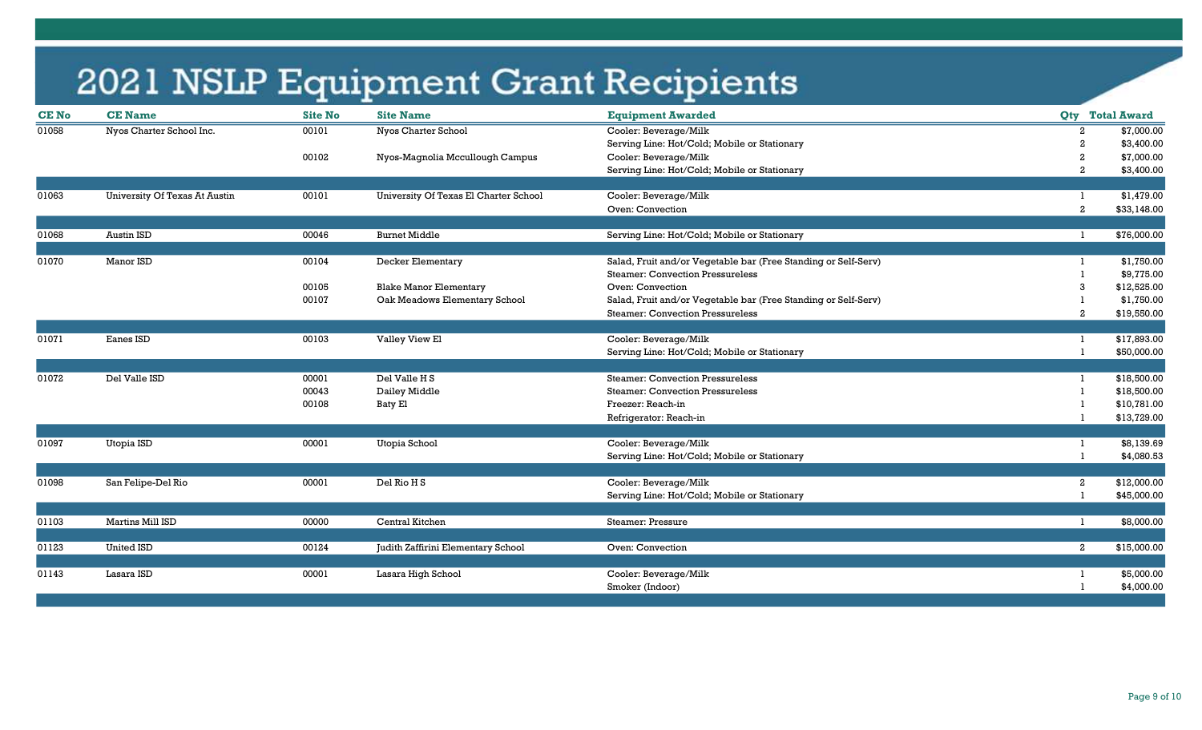| Cooler: Beverage/Milk<br>01058<br>Nyos Charter School Inc.<br>Nyos Charter School<br>00101<br>Serving Line: Hot/Cold; Mobile or Stationary<br>Cooler: Beverage/Milk<br>00102<br>Nyos-Magnolia Mccullough Campus | 2<br>$\overline{2}$<br>$\overline{2}$ | \$7,000.00<br>\$3,400.00<br>\$7,000.00 |
|-----------------------------------------------------------------------------------------------------------------------------------------------------------------------------------------------------------------|---------------------------------------|----------------------------------------|
|                                                                                                                                                                                                                 |                                       |                                        |
|                                                                                                                                                                                                                 |                                       |                                        |
|                                                                                                                                                                                                                 |                                       |                                        |
| Serving Line: Hot/Cold; Mobile or Stationary                                                                                                                                                                    |                                       | \$3,400.00                             |
|                                                                                                                                                                                                                 |                                       |                                        |
| <b>University Of Texas At Austin</b><br>Cooler: Beverage/Milk<br>University Of Texas El Charter School<br>01063<br>00101                                                                                        |                                       | \$1,479.00                             |
| Oven: Convection                                                                                                                                                                                                | $\overline{2}$                        | \$33,148.00                            |
|                                                                                                                                                                                                                 |                                       |                                        |
| 01068<br>Austin ISD<br>00046<br><b>Burnet Middle</b><br>Serving Line: Hot/Cold; Mobile or Stationary                                                                                                            |                                       | \$76,000.00                            |
|                                                                                                                                                                                                                 |                                       |                                        |
| Manor ISD<br>Salad, Fruit and/or Vegetable bar (Free Standing or Self-Serv)<br>01070<br>00104<br>Decker Elementary                                                                                              |                                       | \$1,750.00                             |
| <b>Steamer: Convection Pressureless</b>                                                                                                                                                                         |                                       | \$9,775.00                             |
| Oven: Convection<br>00105<br><b>Blake Manor Elementary</b>                                                                                                                                                      | 3                                     | \$12,525.00                            |
| Oak Meadows Elementary School<br>Salad, Fruit and/or Vegetable bar (Free Standing or Self-Serv)<br>00107                                                                                                        |                                       | \$1,750.00                             |
| <b>Steamer: Convection Pressureless</b>                                                                                                                                                                         | 2                                     | \$19,550.00                            |
|                                                                                                                                                                                                                 |                                       |                                        |
| Eanes ISD<br>Valley View El<br>01071<br>00103<br>Cooler: Beverage/Milk                                                                                                                                          |                                       | \$17,893.00                            |
| Serving Line: Hot/Cold; Mobile or Stationary                                                                                                                                                                    |                                       | \$50,000.00                            |
|                                                                                                                                                                                                                 |                                       |                                        |
| 01072<br>Del Valle ISD<br>Del Valle H S<br><b>Steamer: Convection Pressureless</b><br>00001                                                                                                                     |                                       | \$18,500.00                            |
| 00043<br>Dailey Middle<br><b>Steamer: Convection Pressureless</b>                                                                                                                                               |                                       | \$18,500.00                            |
| 00108<br>Baty El<br>Freezer: Reach-in                                                                                                                                                                           |                                       | \$10,781.00                            |
| Refrigerator: Reach-in                                                                                                                                                                                          |                                       | \$13,729.00                            |
|                                                                                                                                                                                                                 |                                       |                                        |
| Cooler: Beverage/Milk<br>01097<br>Utopia ISD<br>00001<br>Utopia School                                                                                                                                          |                                       | \$8,139.69                             |
| Serving Line: Hot/Cold; Mobile or Stationary                                                                                                                                                                    |                                       | \$4,080.53                             |
|                                                                                                                                                                                                                 |                                       |                                        |
| Cooler: Beverage/Milk<br>01098<br>00001<br>Del Rio H S<br>San Felipe-Del Rio                                                                                                                                    | $\mathbf{2}$                          | \$12,000.00                            |
| Serving Line: Hot/Cold; Mobile or Stationary                                                                                                                                                                    |                                       | \$45,000.00                            |
|                                                                                                                                                                                                                 |                                       |                                        |
| 01103<br>Martins Mill ISD<br>00000<br>Central Kitchen<br>Steamer: Pressure                                                                                                                                      | -1                                    | \$8,000.00                             |
|                                                                                                                                                                                                                 |                                       |                                        |
| <b>United ISD</b><br>01123<br>00124<br>Judith Zaffirini Elementary School<br>Oven: Convection                                                                                                                   | $\mathbf{2}$                          | \$15,000.00                            |
|                                                                                                                                                                                                                 |                                       |                                        |
| Cooler: Beverage/Milk<br>01143<br>Lasara ISD<br>00001<br>Lasara High School                                                                                                                                     |                                       | \$5,000.00                             |
| Smoker (Indoor)                                                                                                                                                                                                 |                                       | \$4,000.00                             |